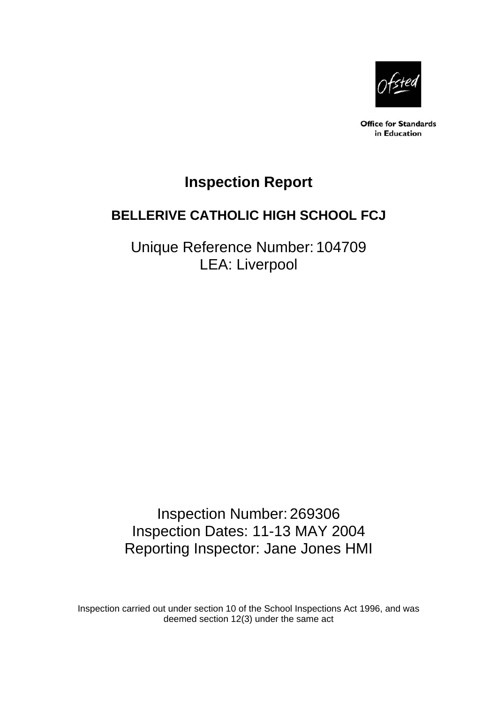

**Office for Standards** in Education

# **Inspection Report**

# **BELLERIVE CATHOLIC HIGH SCHOOL FCJ**

Unique Reference Number: 104709 LEA: Liverpool

Inspection Number: 269306 Inspection Dates: 11-13 MAY 2004 Reporting Inspector: Jane Jones HMI

Inspection carried out under section 10 of the School Inspections Act 1996, and was deemed section 12(3) under the same act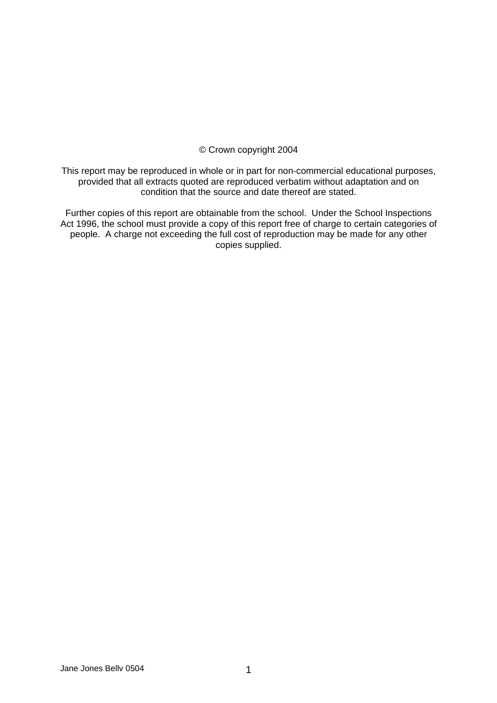## © Crown copyright 2004

This report may be reproduced in whole or in part for non-commercial educational purposes, provided that all extracts quoted are reproduced verbatim without adaptation and on condition that the source and date thereof are stated.

Further copies of this report are obtainable from the school. Under the School Inspections Act 1996, the school must provide a copy of this report free of charge to certain categories of people. A charge not exceeding the full cost of reproduction may be made for any other copies supplied.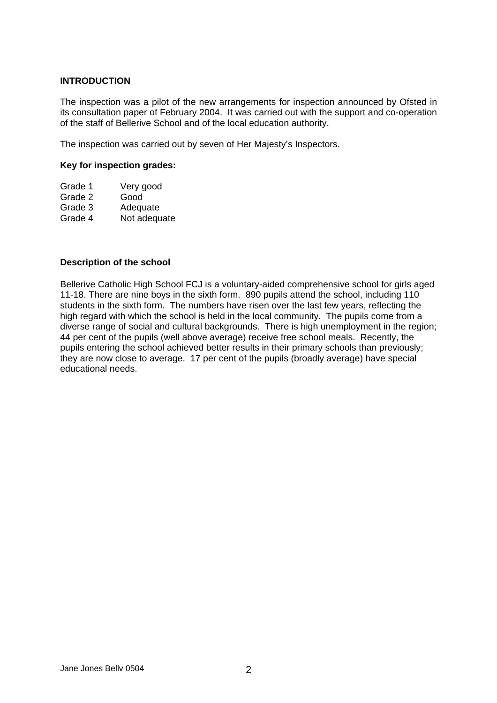#### **INTRODUCTION**

The inspection was a pilot of the new arrangements for inspection announced by Ofsted in its consultation paper of February 2004. It was carried out with the support and co-operation of the staff of Bellerive School and of the local education authority.

The inspection was carried out by seven of Her Majesty's Inspectors.

#### **Key for inspection grades:**

| Grade 1 | Very good    |
|---------|--------------|
| Grade 2 | Good         |
| Grade 3 | Adequate     |
| Grade 4 | Not adequate |
|         |              |

#### **Description of the school**

Bellerive Catholic High School FCJ is a voluntary-aided comprehensive school for girls aged 11-18. There are nine boys in the sixth form. 890 pupils attend the school, including 110 students in the sixth form. The numbers have risen over the last few years, reflecting the high regard with which the school is held in the local community. The pupils come from a diverse range of social and cultural backgrounds. There is high unemployment in the region; 44 per cent of the pupils (well above average) receive free school meals. Recently, the pupils entering the school achieved better results in their primary schools than previously; they are now close to average. 17 per cent of the pupils (broadly average) have special educational needs.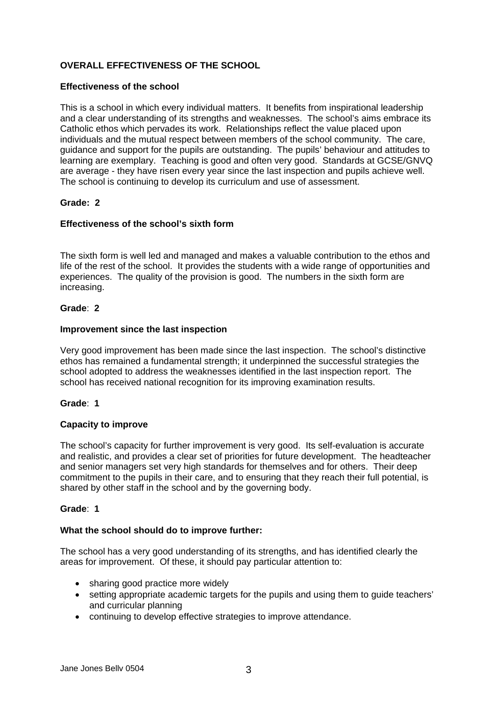# **OVERALL EFFECTIVENESS OF THE SCHOOL**

#### **Effectiveness of the school**

This is a school in which every individual matters. It benefits from inspirational leadership and a clear understanding of its strengths and weaknesses. The school's aims embrace its Catholic ethos which pervades its work. Relationships reflect the value placed upon individuals and the mutual respect between members of the school community. The care, guidance and support for the pupils are outstanding. The pupils' behaviour and attitudes to learning are exemplary. Teaching is good and often very good. Standards at GCSE/GNVQ are average - they have risen every year since the last inspection and pupils achieve well. The school is continuing to develop its curriculum and use of assessment.

## **Grade: 2**

#### **Effectiveness of the school's sixth form**

The sixth form is well led and managed and makes a valuable contribution to the ethos and life of the rest of the school. It provides the students with a wide range of opportunities and experiences. The quality of the provision is good. The numbers in the sixth form are increasing.

## **Grade**: **2**

#### **Improvement since the last inspection**

Very good improvement has been made since the last inspection. The school's distinctive ethos has remained a fundamental strength; it underpinned the successful strategies the school adopted to address the weaknesses identified in the last inspection report. The school has received national recognition for its improving examination results.

#### **Grade**: **1**

#### **Capacity to improve**

The school's capacity for further improvement is very good. Its self-evaluation is accurate and realistic, and provides a clear set of priorities for future development. The headteacher and senior managers set very high standards for themselves and for others. Their deep commitment to the pupils in their care, and to ensuring that they reach their full potential, is shared by other staff in the school and by the governing body.

#### **Grade**: **1**

#### **What the school should do to improve further:**

The school has a very good understanding of its strengths, and has identified clearly the areas for improvement. Of these, it should pay particular attention to:

- sharing good practice more widely
- setting appropriate academic targets for the pupils and using them to quide teachers' and curricular planning
- continuing to develop effective strategies to improve attendance.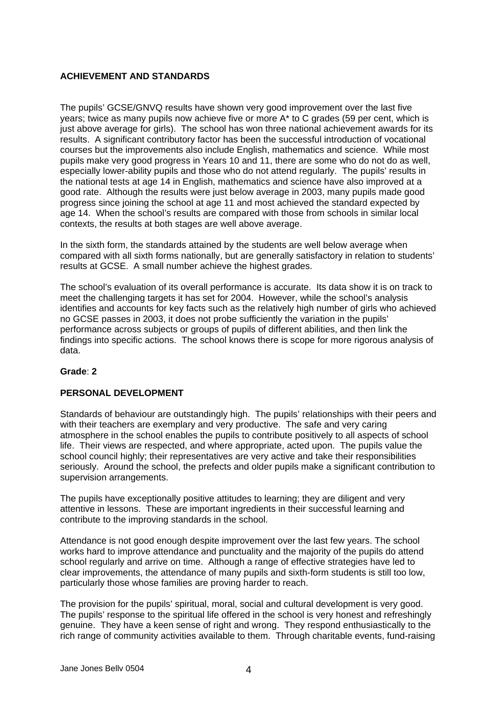# **ACHIEVEMENT AND STANDARDS**

The pupils' GCSE/GNVQ results have shown very good improvement over the last five years; twice as many pupils now achieve five or more A\* to C grades (59 per cent, which is just above average for girls). The school has won three national achievement awards for its results. A significant contributory factor has been the successful introduction of vocational courses but the improvements also include English, mathematics and science. While most pupils make very good progress in Years 10 and 11, there are some who do not do as well, especially lower-ability pupils and those who do not attend regularly. The pupils' results in the national tests at age 14 in English, mathematics and science have also improved at a good rate. Although the results were just below average in 2003, many pupils made good progress since joining the school at age 11 and most achieved the standard expected by age 14. When the school's results are compared with those from schools in similar local contexts, the results at both stages are well above average.

In the sixth form, the standards attained by the students are well below average when compared with all sixth forms nationally, but are generally satisfactory in relation to students' results at GCSE. A small number achieve the highest grades.

The school's evaluation of its overall performance is accurate. Its data show it is on track to meet the challenging targets it has set for 2004. However, while the school's analysis identifies and accounts for key facts such as the relatively high number of girls who achieved no GCSE passes in 2003, it does not probe sufficiently the variation in the pupils' performance across subjects or groups of pupils of different abilities, and then link the findings into specific actions. The school knows there is scope for more rigorous analysis of data.

## **Grade**: **2**

## **PERSONAL DEVELOPMENT**

Standards of behaviour are outstandingly high. The pupils' relationships with their peers and with their teachers are exemplary and very productive. The safe and very caring atmosphere in the school enables the pupils to contribute positively to all aspects of school life. Their views are respected, and where appropriate, acted upon. The pupils value the school council highly; their representatives are very active and take their responsibilities seriously. Around the school, the prefects and older pupils make a significant contribution to supervision arrangements.

The pupils have exceptionally positive attitudes to learning; they are diligent and very attentive in lessons. These are important ingredients in their successful learning and contribute to the improving standards in the school.

Attendance is not good enough despite improvement over the last few years. The school works hard to improve attendance and punctuality and the majority of the pupils do attend school regularly and arrive on time. Although a range of effective strategies have led to clear improvements, the attendance of many pupils and sixth-form students is still too low, particularly those whose families are proving harder to reach.

The provision for the pupils' spiritual, moral, social and cultural development is very good. The pupils' response to the spiritual life offered in the school is very honest and refreshingly genuine. They have a keen sense of right and wrong. They respond enthusiastically to the rich range of community activities available to them. Through charitable events, fund-raising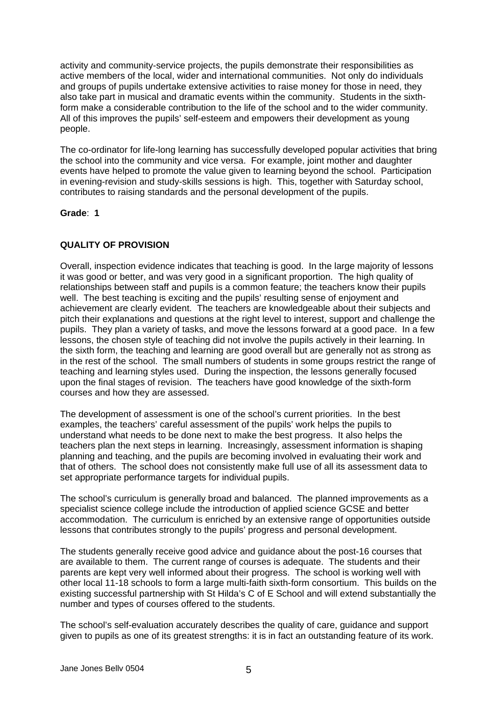activity and community-service projects, the pupils demonstrate their responsibilities as active members of the local, wider and international communities. Not only do individuals and groups of pupils undertake extensive activities to raise money for those in need, they also take part in musical and dramatic events within the community. Students in the sixthform make a considerable contribution to the life of the school and to the wider community. All of this improves the pupils' self-esteem and empowers their development as young people.

The co-ordinator for life-long learning has successfully developed popular activities that bring the school into the community and vice versa. For example, joint mother and daughter events have helped to promote the value given to learning beyond the school. Participation in evening-revision and study-skills sessions is high. This, together with Saturday school, contributes to raising standards and the personal development of the pupils.

## **Grade**: **1**

# **QUALITY OF PROVISION**

Overall, inspection evidence indicates that teaching is good. In the large majority of lessons it was good or better, and was very good in a significant proportion. The high quality of relationships between staff and pupils is a common feature; the teachers know their pupils well. The best teaching is exciting and the pupils' resulting sense of enjoyment and achievement are clearly evident. The teachers are knowledgeable about their subjects and pitch their explanations and questions at the right level to interest, support and challenge the pupils. They plan a variety of tasks, and move the lessons forward at a good pace. In a few lessons, the chosen style of teaching did not involve the pupils actively in their learning. In the sixth form, the teaching and learning are good overall but are generally not as strong as in the rest of the school. The small numbers of students in some groups restrict the range of teaching and learning styles used. During the inspection, the lessons generally focused upon the final stages of revision. The teachers have good knowledge of the sixth-form courses and how they are assessed.

The development of assessment is one of the school's current priorities. In the best examples, the teachers' careful assessment of the pupils' work helps the pupils to understand what needs to be done next to make the best progress. It also helps the teachers plan the next steps in learning. Increasingly, assessment information is shaping planning and teaching, and the pupils are becoming involved in evaluating their work and that of others. The school does not consistently make full use of all its assessment data to set appropriate performance targets for individual pupils.

The school's curriculum is generally broad and balanced. The planned improvements as a specialist science college include the introduction of applied science GCSE and better accommodation. The curriculum is enriched by an extensive range of opportunities outside lessons that contributes strongly to the pupils' progress and personal development.

The students generally receive good advice and guidance about the post-16 courses that are available to them. The current range of courses is adequate. The students and their parents are kept very well informed about their progress. The school is working well with other local 11-18 schools to form a large multi-faith sixth-form consortium. This builds on the existing successful partnership with St Hilda's C of E School and will extend substantially the number and types of courses offered to the students.

The school's self-evaluation accurately describes the quality of care, guidance and support given to pupils as one of its greatest strengths: it is in fact an outstanding feature of its work.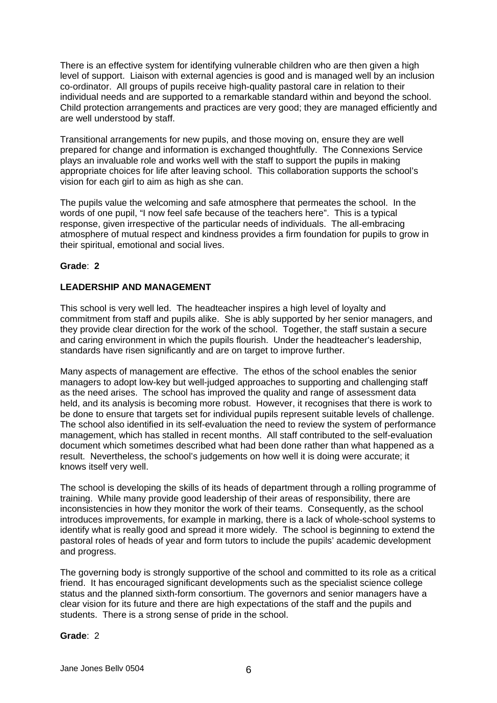There is an effective system for identifying vulnerable children who are then given a high level of support. Liaison with external agencies is good and is managed well by an inclusion co-ordinator. All groups of pupils receive high-quality pastoral care in relation to their individual needs and are supported to a remarkable standard within and beyond the school. Child protection arrangements and practices are very good; they are managed efficiently and are well understood by staff.

Transitional arrangements for new pupils, and those moving on, ensure they are well prepared for change and information is exchanged thoughtfully. The Connexions Service plays an invaluable role and works well with the staff to support the pupils in making appropriate choices for life after leaving school. This collaboration supports the school's vision for each girl to aim as high as she can.

The pupils value the welcoming and safe atmosphere that permeates the school. In the words of one pupil, "I now feel safe because of the teachers here". This is a typical response, given irrespective of the particular needs of individuals. The all-embracing atmosphere of mutual respect and kindness provides a firm foundation for pupils to grow in their spiritual, emotional and social lives.

## **Grade**: **2**

# **LEADERSHIP AND MANAGEMENT**

This school is very well led. The headteacher inspires a high level of loyalty and commitment from staff and pupils alike. She is ably supported by her senior managers, and they provide clear direction for the work of the school. Together, the staff sustain a secure and caring environment in which the pupils flourish. Under the headteacher's leadership, standards have risen significantly and are on target to improve further.

Many aspects of management are effective. The ethos of the school enables the senior managers to adopt low-key but well-judged approaches to supporting and challenging staff as the need arises. The school has improved the quality and range of assessment data held, and its analysis is becoming more robust. However, it recognises that there is work to be done to ensure that targets set for individual pupils represent suitable levels of challenge. The school also identified in its self-evaluation the need to review the system of performance management, which has stalled in recent months. All staff contributed to the self-evaluation document which sometimes described what had been done rather than what happened as a result. Nevertheless, the school's judgements on how well it is doing were accurate; it knows itself very well.

The school is developing the skills of its heads of department through a rolling programme of training. While many provide good leadership of their areas of responsibility, there are inconsistencies in how they monitor the work of their teams. Consequently, as the school introduces improvements, for example in marking, there is a lack of whole-school systems to identify what is really good and spread it more widely. The school is beginning to extend the pastoral roles of heads of year and form tutors to include the pupils' academic development and progress.

The governing body is strongly supportive of the school and committed to its role as a critical friend. It has encouraged significant developments such as the specialist science college status and the planned sixth-form consortium. The governors and senior managers have a clear vision for its future and there are high expectations of the staff and the pupils and students. There is a strong sense of pride in the school.

## **Grade**: 2